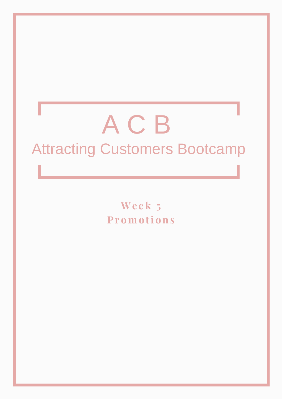# A C B Attracting Customers Bootcamp

**We e k 5 Pr omo ti ons**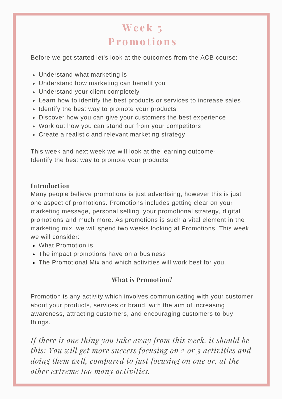## **We e k 5 Pr omo ti ons**

Before we get started let's look at the outcomes from the ACB course:

- Understand what marketing is
- Understand how marketing can benefit you
- Understand your client completely
- Learn how to identify the best products or services to increase sales
- Identify the best way to promote your products
- Discover how you can give your customers the best experience
- Work out how you can stand our from your competitors
- Create a realistic and relevant marketing strategy

This week and next week we will look at the learning outcome-Identify the best way to promote your products

## **Introduction**

Many people believe promotions is just advertising, however this is just one aspect of promotions. Promotions includes getting clear on your marketing message, personal selling, your promotional strategy, digital promotions and much more. As promotions is such a vital element in the marketing mix, we will spend two weeks looking at Promotions. This week we will consider:

- What Promotion is
- The impact promotions have on a business
- The Promotional Mix and which activities will work best for you.

## **What is Promotion?**

Promotion is any activity which involves communicating with your customer about your products, services or brand, with the aim of increasing awareness, attracting customers, and encouraging customers to buy things.

*If there is one thing you take away from this week, it should be this: You will get more success focusing on 2 or 3 activities and doing them well, compared to just focusing on one or, at the other extreme too many activities.*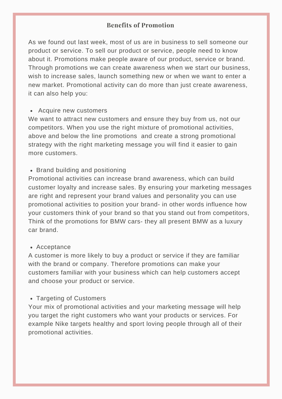## **Benefits of Promotion**

As we found out last week, most of us are in business to sell someone our product or service. To sell our product or service, people need to know about it. Promotions make people aware of our product, service or brand. Through promotions we can create awareness when we start our business, wish to increase sales, launch something new or when we want to enter a new market. Promotional activity can do more than just create awareness, it can also help you:

#### Acquire new customers

We want to attract new customers and ensure they buy from us, not our competitors. When you use the right mixture of promotional activities, above and below the line promotions and create a strong promotional strategy with the right marketing message you will find it easier to gain more customers.

#### • Brand building and positioning

Promotional activities can increase brand awareness, which can build customer loyalty and increase sales. By ensuring your marketing messages are right and represent your brand values and personality you can use promotional activities to position your brand- in other words influence how your customers think of your brand so that you stand out from competitors, Think of the promotions for BMW cars- they all present BMW as a luxury car brand.

#### Acceptance

A customer is more likely to buy a product or service if they are familiar with the brand or company. Therefore promotions can make your customers familiar with your business which can help customers accept and choose your product or service.

#### Targeting of Customers

Your mix of promotional activities and your marketing message will help you target the right customers who want your products or services. For example Nike targets healthy and sport loving people through all of their promotional activities.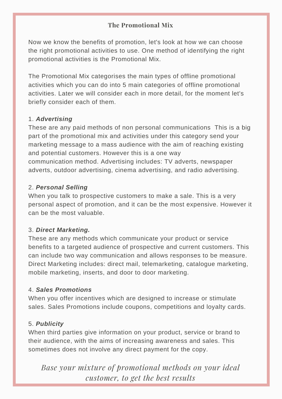## **The Promotional Mix**

Now we know the benefits of promotion, let's look at how we can choose the right promotional activities to use. One method of identifying the right promotional activities is the Promotional Mix.

The Promotional Mix categorises the main types of offline promotional activities which you can do into 5 main categories of offline promotional activities. Later we will consider each in more detail, for the moment let's briefly consider each of them.

## 1. *Advertising*

These are any paid methods of non personal communications This is a big part of the promotional mix and activities under this category send your marketing message to a mass audience with the aim of reaching existing and potential customers. However this is a one way communication method. Advertising includes: TV adverts, newspaper adverts, outdoor advertising, cinema advertising, and radio advertising.

## 2. *Personal Selling*

When you talk to prospective customers to make a sale. This is a very personal aspect of promotion, and it can be the most expensive. However it can be the most valuable.

## 3. *Direct Marketing.*

These are any methods which communicate your product or service benefits to a targeted audience of prospective and current customers. This can include two way communication and allows responses to be measure. Direct Marketing includes: direct mail, telemarketing, catalogue marketing, mobile marketing, inserts, and door to door marketing.

#### 4. *Sales Promotions*

When you offer incentives which are designed to increase or stimulate sales. Sales Promotions include coupons, competitions and loyalty cards.

## 5. *Publicity*

When third parties give information on your product, service or brand to their audience, with the aims of increasing awareness and sales. This sometimes does not involve any direct payment for the copy.

*Base your mixture of promotional methods on your ideal customer, to get the best results*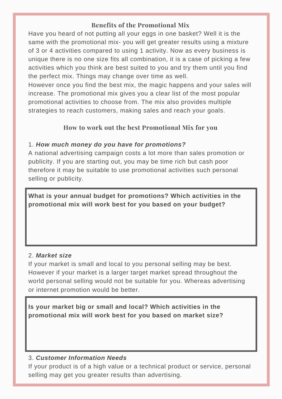## **Benefits of the Promotional Mix**

Have you heard of not putting all your eggs in one basket? Well it is the same with the promotional mix- you will get greater results using a mixture of 3 or 4 activities compared to using 1 activity. Now as every business is unique there is no one size fits all combination, it is a case of picking a few activities which you think are best suited to you and try them until you find the perfect mix. Things may change over time as well.

However once you find the best mix, the magic happens and your sales will increase. The promotional mix gives you a clear list of the most popular promotional activities to choose from. The mix also provides multiple strategies to reach customers, making sales and reach your goals.

## **How to work out the best Promotional Mix for you**

## 1. *How much money do you have for promotions?*

A national advertising campaign costs a lot more than sales promotion or publicity. If you are starting out, you may be time rich but cash poor therefore it may be suitable to use promotional activities such personal selling or publicity.

**What is your annual budget for promotions? Which activities in the promotional mix will work best for you based on your budget?**

## 2. *Market size*

If your market is small and local to you personal selling may be best. However if your market is a larger target market spread throughout the world personal selling would not be suitable for you. Whereas advertising or internet promotion would be better.

**Is your market big or small and local? Which activities in the promotional mix will work best for you based on market size?**

## 3. *Customer Information Needs*

If your product is of a high value or a technical product or service, personal selling may get you greater results than advertising.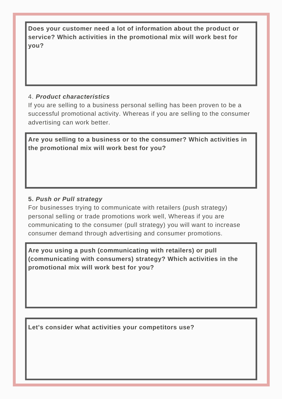**Does your customer need a lot of information about the product or service? Which activities in the promotional mix will work best for you?**

## 4. *Product characteristics*

If you are selling to a business personal selling has been proven to be a successful promotional activity. Whereas if you are selling to the consumer advertising can work better.

**Are you selling to a business or to the consumer? Which activities in the promotional mix will work best for you?**

## **5.** *Push or Pull strategy*

For businesses trying to communicate with retailers (push strategy) personal selling or trade promotions work well, Whereas if you are communicating to the consumer (pull strategy) you will want to increase consumer demand through advertising and consumer promotions.

**Are you using a push (communicating with retailers) or pull (communicating with consumers) strategy? Which activities in the promotional mix will work best for you?**

**Let's consider what activities your competitors use?**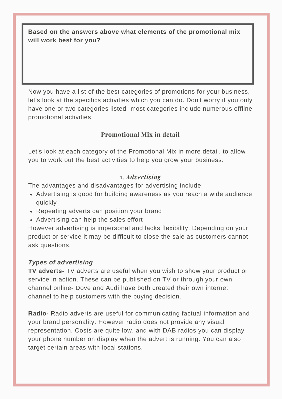**Based on the answers above what elements of the promotional mix will work best for you?**

Now you have a list of the best categories of promotions for your business, let's look at the specifics activities which you can do. Don't worry if you only have one or two categories listed- most categories include numerous offline promotional activities.

## **Promotional Mix in detail**

Let's look at each category of the Promotional Mix in more detail, to allow you to work out the best activities to help you grow your business.

#### 1. *Advertising*

The advantages and disadvantages for advertising include:

- Advertising is good for building awareness as you reach a wide audience quickly
- Repeating adverts can position your brand
- Advertising can help the sales effort

However advertising is impersonal and lacks flexibility. Depending on your product or service it may be difficult to close the sale as customers cannot ask questions.

#### *Types of advertising*

**TV adverts-** TV adverts are useful when you wish to show your product or service in action. These can be published on TV or through your own channel online- Dove and Audi have both created their own internet channel to help customers with the buying decision.

**Radio-** Radio adverts are useful for communicating factual information and your brand personality. However radio does not provide any visual representation. Costs are quite low, and with DAB radios you can display your phone number on display when the advert is running. You can also target certain areas with local stations.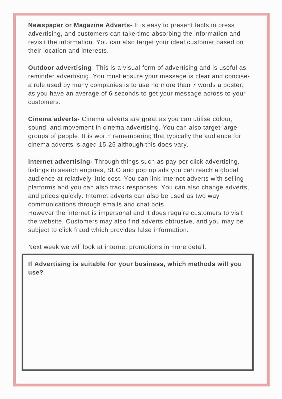**Newspaper or Magazine Adverts**- It is easy to present facts in press advertising, and customers can take time absorbing the information and revisit the information. You can also target your ideal customer based on their location and interests.

**Outdoor advertising**- This is a visual form of advertising and is useful as reminder advertising. You must ensure your message is clear and concisea rule used by many companies is to use no more than 7 words a poster, as you have an average of 6 seconds to get your message across to your customers.

**Cinema adverts-** Cinema adverts are great as you can utilise colour, sound, and movement in cinema advertising. You can also target large groups of people. It is worth remembering that typically the audience for cinema adverts is aged 15-25 although this does vary.

**Internet advertising***-* Through things such as pay per click advertising, listings in search engines, SEO and pop up ads you can reach a global audience at relatively little cost. You can link internet adverts with selling platforms and you can also track responses. You can also change adverts, and prices quickly. Internet adverts can also be used as two way communications through emails and chat bots.

However the internet is impersonal and it does require customers to visit the website. Customers may also find adverts obtrusive, and you may be subject to click fraud which provides false information.

Next week we will look at internet promotions in more detail.

**If Advertising is suitable for your business, which methods will you use?**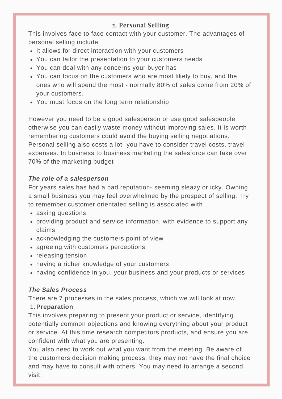## **2. Personal Selling**

This involves face to face contact with your customer. The advantages of personal selling include

- It allows for direct interaction with your customers
- You can tailor the presentation to your customers needs
- You can deal with any concerns your buyer has
- You can focus on the customers who are most likely to buy, and the ones who will spend the most - normally 80% of sales come from 20% of your customers.
- You must focus on the long term relationship

However you need to be a good salesperson or use good salespeople otherwise you can easily waste money without improving sales. It is worth remembering customers could avoid the buying selling negotiations. Personal selling also costs a lot- you have to consider travel costs, travel expenses. In business to business marketing the salesforce can take over 70% of the marketing budget

## *The role of a salesperson*

For years sales has had a bad reputation- seeming sleazy or icky. Owning a small business you may feel overwhelmed by the prospect of selling. Try to remember customer orientated selling is associated with

- asking questions
- providing product and service information, with evidence to support any claims
- acknowledging the customers point of view
- agreeing with customers perceptions
- releasing tension
- having a richer knowledge of your customers
- having confidence in you, your business and your products or services

## *The Sales Process*

There are 7 processes in the sales process, which we will look at now.

## 1. Preparation

This involves preparing to present your product or service, identifying potentially common objections and knowing everything about your product or service. At this time research competitors products, and ensure you are confident with what you are presenting.

You also need to work out what you want from the meeting. Be aware of the customers decision making process, they may not have the final choice and may have to consult with others. You may need to arrange a second visit.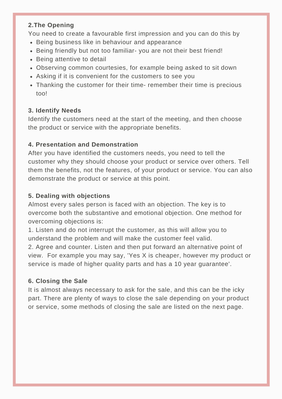## **2.The Opening**

You need to create a favourable first impression and you can do this by

- Being business like in behaviour and appearance
- Being friendly but not too familiar- you are not their best friend!
- Being attentive to detail
- Observing common courtesies, for example being asked to sit down
- Asking if it is convenient for the customers to see you
- Thanking the customer for their time- remember their time is precious too!

## **3. Identify Needs**

Identify the customers need at the start of the meeting, and then choose the product or service with the appropriate benefits.

## **4. Presentation and Demonstration**

After you have identified the customers needs, you need to tell the customer why they should choose your product or service over others. Tell them the benefits, not the features, of your product or service. You can also demonstrate the product or service at this point.

## **5. Dealing with objections**

Almost every sales person is faced with an objection. The key is to overcome both the substantive and emotional objection. One method for overcoming objections is:

1. Listen and do not interrupt the customer, as this will allow you to understand the problem and will make the customer feel valid.

2. Agree and counter. Listen and then put forward an alternative point of view. For example you may say, 'Yes X is cheaper, however my product or service is made of higher quality parts and has a 10 year guarantee'.

## **6. Closing the Sale**

It is almost always necessary to ask for the sale, and this can be the icky part. There are plenty of ways to close the sale depending on your product or service, some methods of closing the sale are listed on the next page.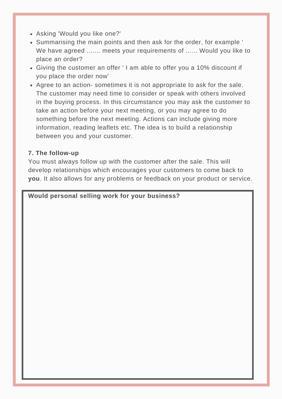- Asking 'Would you like one?'
- Summarising the main points and then ask for the order, for example ' We have agreed ....... meets your requirements of ...... Would you like to place an order?
- Giving the customer an offer ' I am able to offer you a 10% discount if you place the order now'
- Agree to an action- sometimes it is not appropriate to ask for the sale. The customer may need time to consider or speak with others involved in the buying process. In this circumstance you may ask the customer to take an action before your next meeting, or you may agree to do something before the next meeting. Actions can include giving more information, reading leaflets etc. The idea is to build a relationship between you and your customer.

#### **7. The follow-up**

You must always follow up with the customer after the sale. This will develop relationships which encourages your customers to come back to **you**. It also allows for any problems or feedback on your product or service.

#### **Would personal selling work for your business?**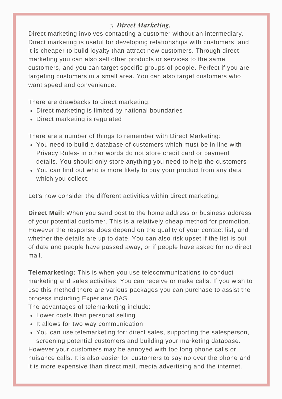## 3. *Direct Marketing.*

Direct marketing involves contacting a customer without an intermediary. Direct marketing is useful for developing relationships with customers, and it is cheaper to build loyalty than attract new customers. Through direct marketing you can also sell other products or services to the same customers, and you can target specific groups of people. Perfect if you are targeting customers in a small area. You can also target customers who want speed and convenience.

There are drawbacks to direct marketing:

- Direct marketing is limited by national boundaries
- Direct marketing is regulated

There are a number of things to remember with Direct Marketing:

- You need to build a database of customers which must be in line with Privacy Rules- in other words do not store credit card or payment details. You should only store anything you need to help the customers
- You can find out who is more likely to buy your product from any data which you collect.

Let's now consider the different activities within direct marketing:

**Direct Mail:** When you send post to the home address or business address of your potential customer. This is a relatively cheap method for promotion. However the response does depend on the quality of your contact list, and whether the details are up to date. You can also risk upset if the list is out of date and people have passed away, or if people have asked for no direct mail.

**Telemarketing:** This is when you use telecommunications to conduct marketing and sales activities. You can receive or make calls. If you wish to use this method there are various packages you can purchase to assist the process including Experians QAS.

The advantages of telemarketing include:

- Lower costs than personal selling
- It allows for two way communication
- You can use telemarketing for: direct sales, supporting the salesperson, screening potential customers and building your marketing database. However your customers may be annoyed with too long phone calls or nuisance calls. It is also easier for customers to say no over the phone and it is more expensive than direct mail, media advertising and the internet.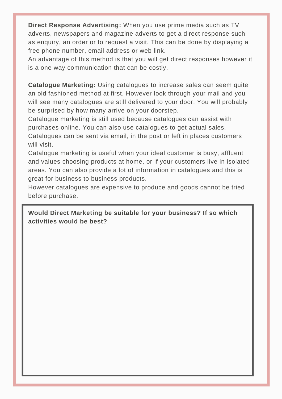**Direct Response Advertising:** When you use prime media such as TV adverts, newspapers and magazine adverts to get a direct response such as enquiry, an order or to request a visit. This can be done by displaying a free phone number, email address or web link.

An advantage of this method is that you will get direct responses however it is a one way communication that can be costly.

**Catalogue Marketing:** Using catalogues to increase sales can seem quite an old fashioned method at first. However look through your mail and you will see many catalogues are still delivered to your door. You will probably be surprised by how many arrive on your doorstep.

Catalogue marketing is still used because catalogues can assist with purchases online. You can also use catalogues to get actual sales. Catalogues can be sent via email, in the post or left in places customers will visit.

Catalogue marketing is useful when your ideal customer is busy, affluent and values choosing products at home, or if your customers live in isolated areas. You can also provide a lot of information in catalogues and this is great for business to business products.

However catalogues are expensive to produce and goods cannot be tried before purchase.

**Would Direct Marketing be suitable for your business? If so which activities would be best?**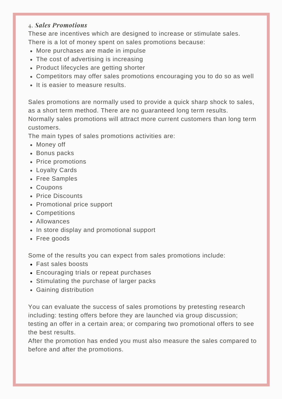## 4. *Sales Promotions*

These are incentives which are designed to increase or stimulate sales. There is a lot of money spent on sales promotions because:

- More purchases are made in impulse
- The cost of advertising is increasing
- Product lifecycles are getting shorter
- Competitors may offer sales promotions encouraging you to do so as well
- It is easier to measure results.

Sales promotions are normally used to provide a quick sharp shock to sales, as a short term method. There are no guaranteed long term results. Normally sales promotions will attract more current customers than long term customers.

The main types of sales promotions activities are:

- Money off
- Bonus packs
- Price promotions
- Loyalty Cards
- Free Samples
- Coupons
- Price Discounts
- Promotional price support
- Competitions
- Allowances
- In store display and promotional support
- Free goods

Some of the results you can expect from sales promotions include:

- Fast sales boosts
- Encouraging trials or repeat purchases
- Stimulating the purchase of larger packs
- Gaining distribution

You can evaluate the success of sales promotions by pretesting research including: testing offers before they are launched via group discussion; testing an offer in a certain area; or comparing two promotional offers to see the best results.

After the promotion has ended you must also measure the sales compared to before and after the promotions.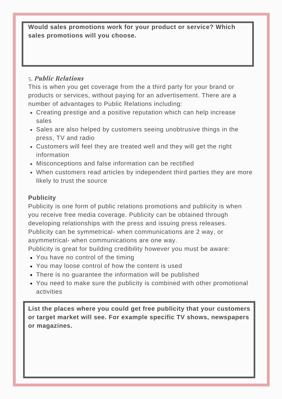**Would sales promotions work for your product or service? Which sales promotions will you choose.**

## 5. *Public Relations*

This is when you get coverage from the a third party for your brand or products or services, without paying for an advertisement. There are a number of advantages to Public Relations including:

- Creating prestige and a positive reputation which can help increase sales
- Sales are also helped by customers seeing unobtrusive things in the press, TV and radio
- Customers will feel they are treated well and they will get the right information
- Misconceptions and false information can be rectified
- When customers read articles by independent third parties they are more likely to trust the source

## **Publicity**

Publicity is one form of public relations promotions and publicity is when you receive free media coverage. Publicity can be obtained through developing relationships with the press and issuing press releases. Publicity can be symmetrical- when communications are 2 way, or asymmetrical- when communications are one way.

Publicity is great for building credibility however you must be aware:

- You have no control of the timing
- You may loose control of how the content is used
- There is no guarantee the information will be published
- You need to make sure the publicity is combined with other promotional activities

**List the places where you could get free publicity that your customers or target market will see. For example specific TV shows, newspapers or magazines.**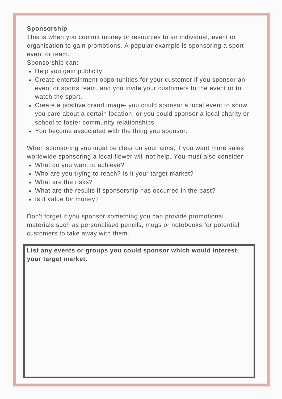## **Sponsorship**

This is when you commit money or resources to an individual, event or organisation to gain promotions. A popular example is sponsoring a sport event or team.

Sponsorship can:

- Help you gain publicity.
- Create entertainment opportunities for your customer if you sponsor an event or sports team, and you invite your customers to the event or to watch the sport.
- Create a positive brand image- you could sponsor a local event to show you care about a certain location, or you could sponsor a local charity or school to foster community relationships.
- You become associated with the thing you sponsor.

When sponsoring you must be clear on your aims, if you want more sales worldwide sponsoring a local flower will not help. You must also consider:

- What do you want to achieve?
- Who are you trying to reach? Is it your target market?
- What are the risks?
- What are the results if sponsorship has occurred in the past?
- Is it value for money?

Don't forget if you sponsor something you can provide promotional materials such as personalised pencils, mugs or notebooks for potential customers to take away with them.

**List any events or groups you could sponsor which would interest your target market.**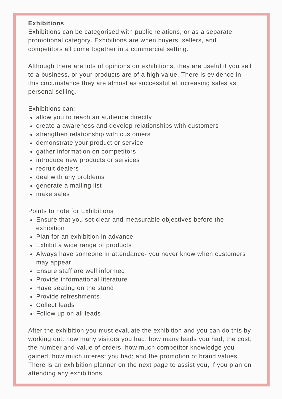#### **Exhibitions**

Exhibitions can be categorised with public relations, or as a separate promotional category. Exhibitions are when buyers, sellers, and competitors all come together in a commercial setting.

Although there are lots of opinions on exhibitions, they are useful if you sell to a business, or your products are of a high value. There is evidence in this circumstance they are almost as successful at increasing sales as personal selling.

Exhibitions can:

- allow you to reach an audience directly
- create a awareness and develop relationships with customers
- strengthen relationship with customers
- demonstrate your product or service
- gather information on competitors
- introduce new products or services
- recruit dealers
- deal with any problems
- generate a mailing list
- make sales

Points to note for Exhibitions

- Ensure that you set clear and measurable objectives before the exhibition
- Plan for an exhibition in advance
- Exhibit a wide range of products
- Always have someone in attendance- you never know when customers may appear!
- Ensure staff are well informed
- Provide informational literature
- Have seating on the stand
- Provide refreshments
- Collect leads
- Follow up on all leads

After the exhibition you must evaluate the exhibition and you can do this by working out: how many visitors you had; how many leads you had; the cost; the number and value of orders; how much competitor knowledge you gained; how much interest you had; and the promotion of brand values. There is an exhibition planner on the next page to assist you, if you plan on attending any exhibitions.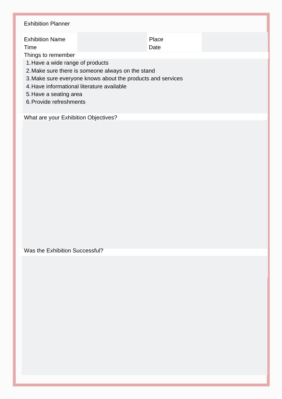## 1. Have a wide range of products Make sure there is someone always on the stand 2. 3. Make sure everyone knows about the products and services 4. Have informational literature available 5. Have a seating area Exhibition Planner Exhibition Name **Place** Time Date **Date** Things to remember

6. Provide refreshments

What are your Exhibition Objectives?

Was the Exhibition Successful?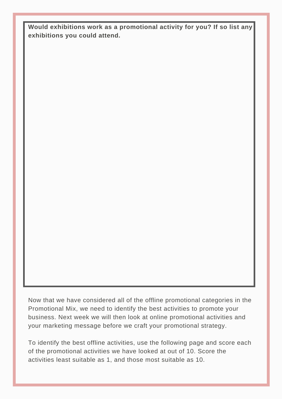**Would exhibitions work as a promotional activity for you? If so list any exhibitions you could attend.**

Now that we have considered all of the offline promotional categories in the Promotional Mix, we need to identify the best activities to promote your business. Next week we will then look at online promotional activities and your marketing message before we craft your promotional strategy.

To identify the best offline activities, use the following page and score each of the promotional activities we have looked at out of 10. Score the activities least suitable as 1, and those most suitable as 10.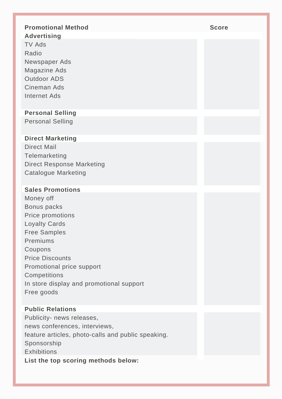| <b>Promotional Method</b>                                         | <b>Score</b> |
|-------------------------------------------------------------------|--------------|
| <b>Advertising</b><br><b>TV Ads</b>                               |              |
| Radio                                                             |              |
| Newspaper Ads                                                     |              |
| <b>Magazine Ads</b>                                               |              |
| <b>Outdoor ADS</b><br>Cineman Ads                                 |              |
| <b>Internet Ads</b>                                               |              |
|                                                                   |              |
| <b>Personal Selling</b>                                           |              |
| <b>Personal Selling</b>                                           |              |
| <b>Direct Marketing</b>                                           |              |
| <b>Direct Mail</b>                                                |              |
| Telemarketing                                                     |              |
| <b>Direct Response Marketing</b>                                  |              |
| <b>Catalogue Marketing</b>                                        |              |
| <b>Sales Promotions</b>                                           |              |
| Money off                                                         |              |
| <b>Bonus packs</b>                                                |              |
| Price promotions                                                  |              |
| <b>Loyalty Cards</b><br><b>Free Samples</b>                       |              |
| Premiums                                                          |              |
| Coupons                                                           |              |
| <b>Price Discounts</b>                                            |              |
| Promotional price support                                         |              |
| Competitions                                                      |              |
| In store display and promotional support<br>Free goods            |              |
|                                                                   |              |
| <b>Public Relations</b>                                           |              |
| Publicity- news releases,                                         |              |
| news conferences, interviews,                                     |              |
| feature articles, photo-calls and public speaking.<br>Sponsorship |              |
| <b>Exhibitions</b>                                                |              |
| List the top scoring methods below:                               |              |